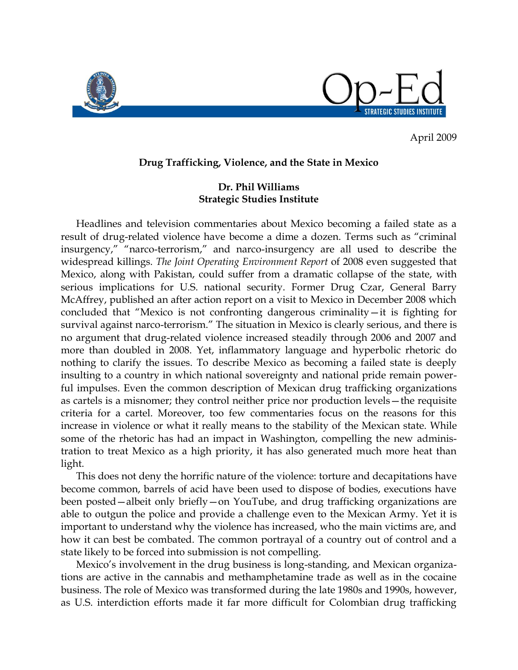

April 2009

## **Drug Trafficking, Violence, and the State in Mexico**

## **Dr. Phil Williams Strategic Studies Institute**

Headlines and television commentaries about Mexico becoming a failed state as a result of drug-related violence have become a dime a dozen. Terms such as "criminal insurgency," "narco-terrorism," and narco-insurgency are all used to describe the widespread killings. *The Joint Operating Environment Report* of 2008 even suggested that Mexico, along with Pakistan, could suffer from a dramatic collapse of the state, with serious implications for U.S. national security. Former Drug Czar, General Barry McAffrey, published an after action report on a visit to Mexico in December 2008 which concluded that "Mexico is not confronting dangerous criminality—it is fighting for survival against narco-terrorism." The situation in Mexico is clearly serious, and there is no argument that drug-related violence increased steadily through 2006 and 2007 and more than doubled in 2008. Yet, inflammatory language and hyperbolic rhetoric do nothing to clarify the issues. To describe Mexico as becoming a failed state is deeply insulting to a country in which national sovereignty and national pride remain powerful impulses. Even the common description of Mexican drug trafficking organizations as cartels is a misnomer; they control neither price nor production levels—the requisite criteria for a cartel. Moreover, too few commentaries focus on the reasons for this increase in violence or what it really means to the stability of the Mexican state. While some of the rhetoric has had an impact in Washington, compelling the new administration to treat Mexico as a high priority, it has also generated much more heat than light.

This does not deny the horrific nature of the violence: torture and decapitations have become common, barrels of acid have been used to dispose of bodies, executions have been posted—albeit only briefly—on YouTube, and drug trafficking organizations are able to outgun the police and provide a challenge even to the Mexican Army. Yet it is important to understand why the violence has increased, who the main victims are, and how it can best be combated. The common portrayal of a country out of control and a state likely to be forced into submission is not compelling.

Mexico's involvement in the drug business is long-standing, and Mexican organizations are active in the cannabis and methamphetamine trade as well as in the cocaine business. The role of Mexico was transformed during the late 1980s and 1990s, however, as U.S. interdiction efforts made it far more difficult for Colombian drug trafficking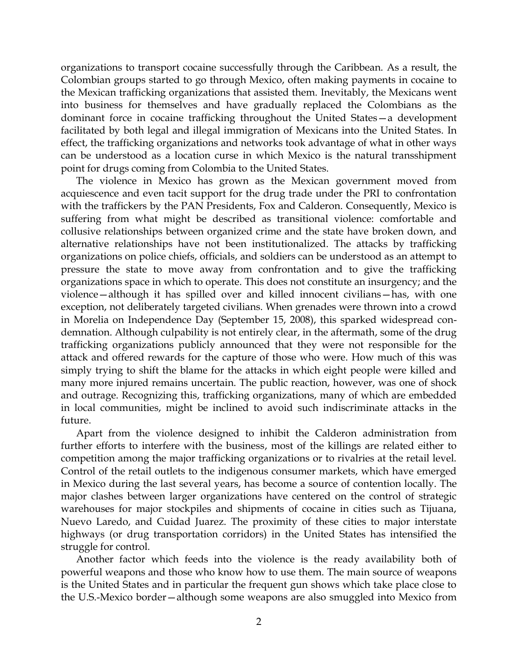organizations to transport cocaine successfully through the Caribbean. As a result, the Colombian groups started to go through Mexico, often making payments in cocaine to the Mexican trafficking organizations that assisted them. Inevitably, the Mexicans went into business for themselves and have gradually replaced the Colombians as the dominant force in cocaine trafficking throughout the United States—a development facilitated by both legal and illegal immigration of Mexicans into the United States. In effect, the trafficking organizations and networks took advantage of what in other ways can be understood as a location curse in which Mexico is the natural transshipment point for drugs coming from Colombia to the United States.

The violence in Mexico has grown as the Mexican government moved from acquiescence and even tacit support for the drug trade under the PRI to confrontation with the traffickers by the PAN Presidents, Fox and Calderon. Consequently, Mexico is suffering from what might be described as transitional violence: comfortable and collusive relationships between organized crime and the state have broken down, and alternative relationships have not been institutionalized. The attacks by trafficking organizations on police chiefs, officials, and soldiers can be understood as an attempt to pressure the state to move away from confrontation and to give the trafficking organizations space in which to operate. This does not constitute an insurgency; and the violence—although it has spilled over and killed innocent civilians—has, with one exception, not deliberately targeted civilians. When grenades were thrown into a crowd in Morelia on Independence Day (September 15, 2008), this sparked widespread condemnation. Although culpability is not entirely clear, in the aftermath, some of the drug trafficking organizations publicly announced that they were not responsible for the attack and offered rewards for the capture of those who were. How much of this was simply trying to shift the blame for the attacks in which eight people were killed and many more injured remains uncertain. The public reaction, however, was one of shock and outrage. Recognizing this, trafficking organizations, many of which are embedded in local communities, might be inclined to avoid such indiscriminate attacks in the future.

Apart from the violence designed to inhibit the Calderon administration from further efforts to interfere with the business, most of the killings are related either to competition among the major trafficking organizations or to rivalries at the retail level. Control of the retail outlets to the indigenous consumer markets, which have emerged in Mexico during the last several years, has become a source of contention locally. The major clashes between larger organizations have centered on the control of strategic warehouses for major stockpiles and shipments of cocaine in cities such as Tijuana, Nuevo Laredo, and Cuidad Juarez. The proximity of these cities to major interstate highways (or drug transportation corridors) in the United States has intensified the struggle for control.

Another factor which feeds into the violence is the ready availability both of powerful weapons and those who know how to use them. The main source of weapons is the United States and in particular the frequent gun shows which take place close to the U.S.-Mexico border—although some weapons are also smuggled into Mexico from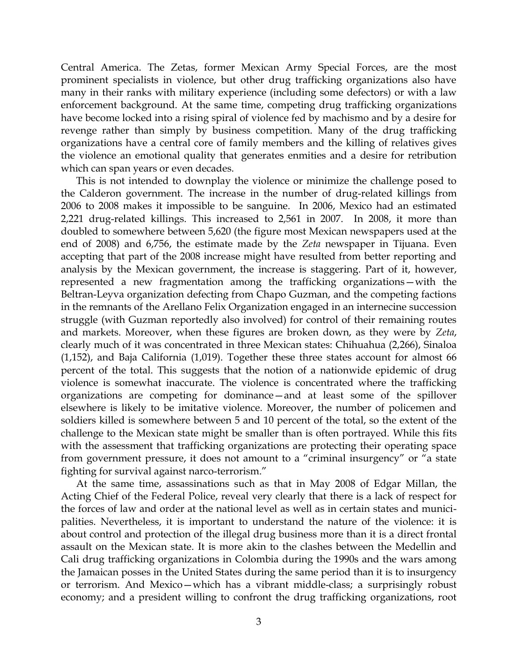Central America. The Zetas, former Mexican Army Special Forces, are the most prominent specialists in violence, but other drug trafficking organizations also have many in their ranks with military experience (including some defectors) or with a law enforcement background. At the same time, competing drug trafficking organizations have become locked into a rising spiral of violence fed by machismo and by a desire for revenge rather than simply by business competition. Many of the drug trafficking organizations have a central core of family members and the killing of relatives gives the violence an emotional quality that generates enmities and a desire for retribution which can span years or even decades.

This is not intended to downplay the violence or minimize the challenge posed to the Calderon government. The increase in the number of drug-related killings from 2006 to 2008 makes it impossible to be sanguine. In 2006, Mexico had an estimated 2,221 drug-related killings. This increased to 2,561 in 2007. In 2008, it more than doubled to somewhere between 5,620 (the figure most Mexican newspapers used at the end of 2008) and 6,756, the estimate made by the *Zeta* newspaper in Tijuana. Even accepting that part of the 2008 increase might have resulted from better reporting and analysis by the Mexican government, the increase is staggering. Part of it, however, represented a new fragmentation among the trafficking organizations—with the Beltran-Leyva organization defecting from Chapo Guzman, and the competing factions in the remnants of the Arellano Felix Organization engaged in an internecine succession struggle (with Guzman reportedly also involved) for control of their remaining routes and markets. Moreover, when these figures are broken down, as they were by *Zeta*, clearly much of it was concentrated in three Mexican states: Chihuahua (2,266), Sinaloa (1,152), and Baja California (1,019). Together these three states account for almost 66 percent of the total. This suggests that the notion of a nationwide epidemic of drug violence is somewhat inaccurate. The violence is concentrated where the trafficking organizations are competing for dominance—and at least some of the spillover elsewhere is likely to be imitative violence. Moreover, the number of policemen and soldiers killed is somewhere between 5 and 10 percent of the total, so the extent of the challenge to the Mexican state might be smaller than is often portrayed. While this fits with the assessment that trafficking organizations are protecting their operating space from government pressure, it does not amount to a "criminal insurgency" or "a state fighting for survival against narco-terrorism."

At the same time, assassinations such as that in May 2008 of Edgar Millan, the Acting Chief of the Federal Police, reveal very clearly that there is a lack of respect for the forces of law and order at the national level as well as in certain states and municipalities. Nevertheless, it is important to understand the nature of the violence: it is about control and protection of the illegal drug business more than it is a direct frontal assault on the Mexican state. It is more akin to the clashes between the Medellin and Cali drug trafficking organizations in Colombia during the 1990s and the wars among the Jamaican posses in the United States during the same period than it is to insurgency or terrorism. And Mexico—which has a vibrant middle-class; a surprisingly robust economy; and a president willing to confront the drug trafficking organizations, root